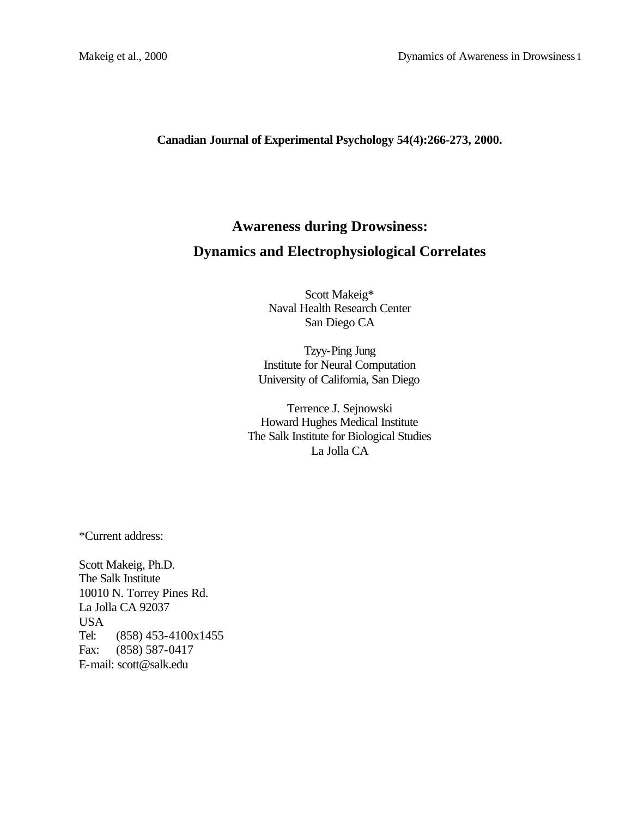**Canadian Journal of Experimental Psychology 54(4):266-273, 2000.**

# **Awareness during Drowsiness: Dynamics and Electrophysiological Correlates**

Scott Makeig\* Naval Health Research Center San Diego CA

Tzyy-Ping Jung Institute for Neural Computation University of California, San Diego

Terrence J. Sejnowski Howard Hughes Medical Institute The Salk Institute for Biological Studies La Jolla CA

\*Current address:

Scott Makeig, Ph.D. The Salk Institute 10010 N. Torrey Pines Rd. La Jolla CA 92037 USA Tel: (858) 453-4100x1455 Fax: (858) 587-0417 E-mail: scott@salk.edu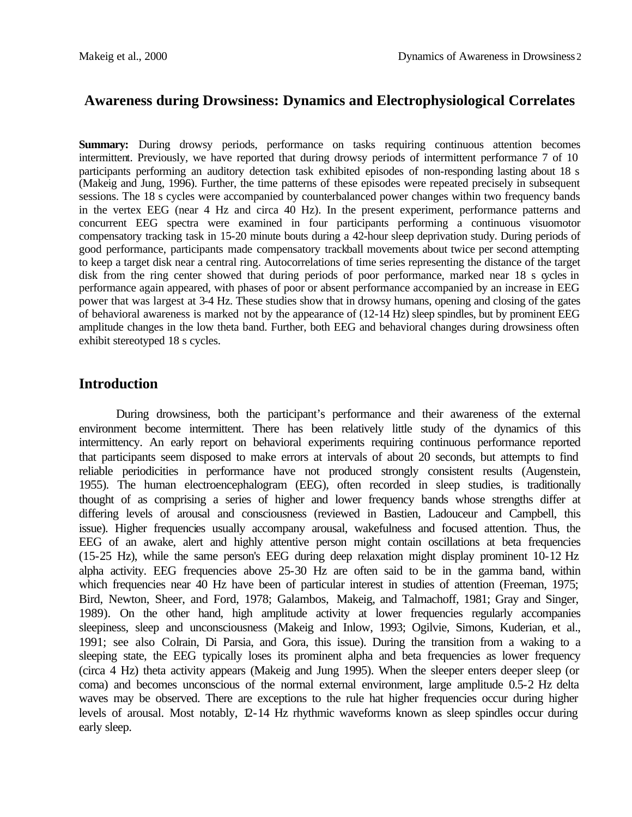# **Awareness during Drowsiness: Dynamics and Electrophysiological Correlates**

**Summary:** During drowsy periods, performance on tasks requiring continuous attention becomes intermittent. Previously, we have reported that during drowsy periods of intermittent performance 7 of 10 participants performing an auditory detection task exhibited episodes of non-responding lasting about 18 s (Makeig and Jung, 1996). Further, the time patterns of these episodes were repeated precisely in subsequent sessions. The 18 s cycles were accompanied by counterbalanced power changes within two frequency bands in the vertex EEG (near 4 Hz and circa 40 Hz). In the present experiment, performance patterns and concurrent EEG spectra were examined in four participants performing a continuous visuomotor compensatory tracking task in 15-20 minute bouts during a 42-hour sleep deprivation study. During periods of good performance, participants made compensatory trackball movements about twice per second attempting to keep a target disk near a central ring. Autocorrelations of time series representing the distance of the target disk from the ring center showed that during periods of poor performance, marked near 18 s ocles in performance again appeared, with phases of poor or absent performance accompanied by an increase in EEG power that was largest at 3-4 Hz. These studies show that in drowsy humans, opening and closing of the gates of behavioral awareness is marked not by the appearance of (12-14 Hz) sleep spindles, but by prominent EEG amplitude changes in the low theta band. Further, both EEG and behavioral changes during drowsiness often exhibit stereotyped 18 s cycles.

## **Introduction**

During drowsiness, both the participant's performance and their awareness of the external environment become intermittent. There has been relatively little study of the dynamics of this intermittency. An early report on behavioral experiments requiring continuous performance reported that participants seem disposed to make errors at intervals of about 20 seconds, but attempts to find reliable periodicities in performance have not produced strongly consistent results (Augenstein, 1955). The human electroencephalogram (EEG), often recorded in sleep studies, is traditionally thought of as comprising a series of higher and lower frequency bands whose strengths differ at differing levels of arousal and consciousness (reviewed in Bastien, Ladouceur and Campbell, this issue). Higher frequencies usually accompany arousal, wakefulness and focused attention. Thus, the EEG of an awake, alert and highly attentive person might contain oscillations at beta frequencies (15-25 Hz), while the same person's EEG during deep relaxation might display prominent 10-12 Hz alpha activity. EEG frequencies above 25-30 Hz are often said to be in the gamma band, within which frequencies near 40 Hz have been of particular interest in studies of attention (Freeman, 1975; Bird, Newton, Sheer, and Ford, 1978; Galambos, Makeig, and Talmachoff, 1981; Gray and Singer, 1989). On the other hand, high amplitude activity at lower frequencies regularly accompanies sleepiness, sleep and unconsciousness (Makeig and Inlow, 1993; Ogilvie, Simons, Kuderian, et al., 1991; see also Colrain, Di Parsia, and Gora, this issue). During the transition from a waking to a sleeping state, the EEG typically loses its prominent alpha and beta frequencies as lower frequency (circa 4 Hz) theta activity appears (Makeig and Jung 1995). When the sleeper enters deeper sleep (or coma) and becomes unconscious of the normal external environment, large amplitude 0.5-2 Hz delta waves may be observed. There are exceptions to the rule hat higher frequencies occur during higher levels of arousal. Most notably, 12-14 Hz rhythmic waveforms known as sleep spindles occur during early sleep.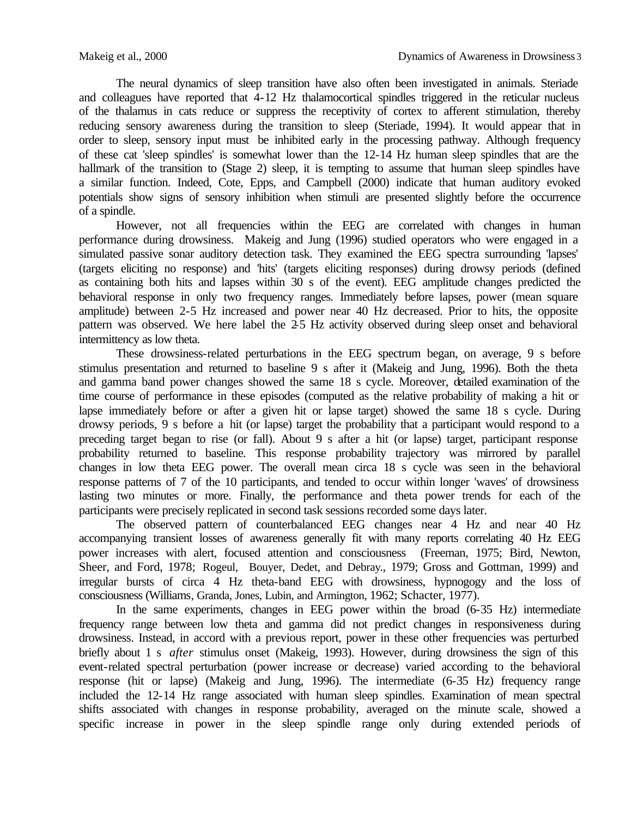The neural dynamics of sleep transition have also often been investigated in animals. Steriade and colleagues have reported that 4-12 Hz thalamocortical spindles triggered in the reticular nucleus of the thalamus in cats reduce or suppress the receptivity of cortex to afferent stimulation, thereby reducing sensory awareness during the transition to sleep (Steriade, 1994). It would appear that in order to sleep, sensory input must be inhibited early in the processing pathway. Although frequency of these cat 'sleep spindles' is somewhat lower than the 12-14 Hz human sleep spindles that are the hallmark of the transition to (Stage 2) sleep, it is tempting to assume that human sleep spindles have a similar function. Indeed, Cote, Epps, and Campbell (2000) indicate that human auditory evoked potentials show signs of sensory inhibition when stimuli are presented slightly before the occurrence of a spindle.

However, not all frequencies within the EEG are correlated with changes in human performance during drowsiness. Makeig and Jung (1996) studied operators who were engaged in a simulated passive sonar auditory detection task. They examined the EEG spectra surrounding 'lapses' (targets eliciting no response) and 'hits' (targets eliciting responses) during drowsy periods (defined as containing both hits and lapses within 30 s of the event). EEG amplitude changes predicted the behavioral response in only two frequency ranges. Immediately before lapses, power (mean square amplitude) between 2-5 Hz increased and power near 40 Hz decreased. Prior to hits, the opposite pattern was observed. We here label the 2-5 Hz activity observed during sleep onset and behavioral intermittency as low theta.

These drowsiness-related perturbations in the EEG spectrum began, on average, 9 s before stimulus presentation and returned to baseline 9 s after it (Makeig and Jung, 1996). Both the theta and gamma band power changes showed the same 18 s cycle. Moreover, detailed examination of the time course of performance in these episodes (computed as the relative probability of making a hit or lapse immediately before or after a given hit or lapse target) showed the same 18 s cycle. During drowsy periods, 9 s before a hit (or lapse) target the probability that a participant would respond to a preceding target began to rise (or fall). About 9 s after a hit (or lapse) target, participant response probability returned to baseline. This response probability trajectory was mirrored by parallel changes in low theta EEG power. The overall mean circa 18 s cycle was seen in the behavioral response patterns of 7 of the 10 participants, and tended to occur within longer 'waves' of drowsiness lasting two minutes or more. Finally, the performance and theta power trends for each of the participants were precisely replicated in second task sessions recorded some days later.

The observed pattern of counterbalanced EEG changes near 4 Hz and near 40 Hz accompanying transient losses of awareness generally fit with many reports correlating 40 Hz EEG power increases with alert, focused attention and consciousness (Freeman, 1975; Bird, Newton, Sheer, and Ford, 1978; Rogeul, Bouyer, Dedet, and Debray., 1979; Gross and Gottman, 1999) and irregular bursts of circa 4 Hz theta-band EEG with drowsiness, hypnogogy and the loss of consciousness (Williams, Granda, Jones, Lubin, and Armington, 1962; Schacter, 1977).

In the same experiments, changes in EEG power within the broad (6-35 Hz) intermediate frequency range between low theta and gamma did not predict changes in responsiveness during drowsiness. Instead, in accord with a previous report, power in these other frequencies was perturbed briefly about 1 s *after* stimulus onset (Makeig, 1993). However, during drowsiness the sign of this event-related spectral perturbation (power increase or decrease) varied according to the behavioral response (hit or lapse) (Makeig and Jung, 1996). The intermediate (6-35 Hz) frequency range included the 12-14 Hz range associated with human sleep spindles. Examination of mean spectral shifts associated with changes in response probability, averaged on the minute scale, showed a specific increase in power in the sleep spindle range only during extended periods of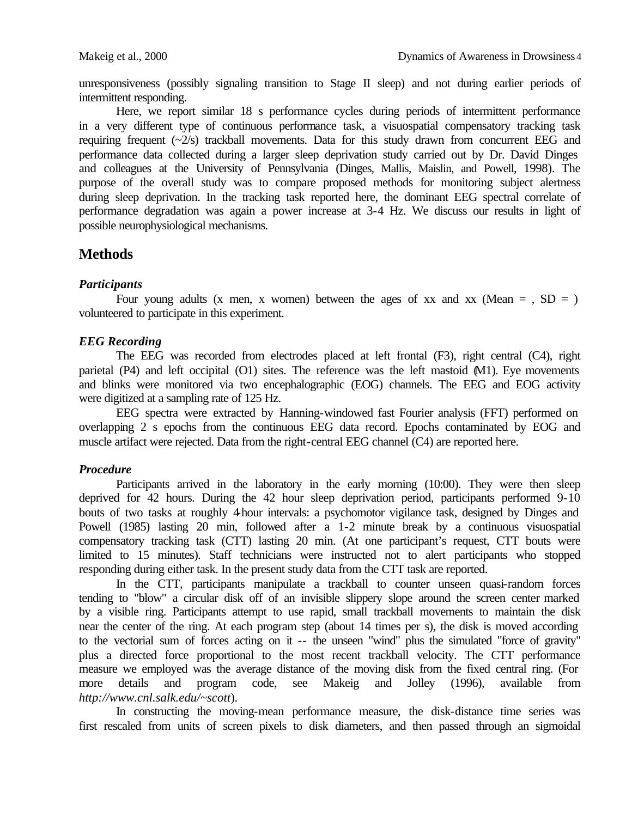unresponsiveness (possibly signaling transition to Stage II sleep) and not during earlier periods of intermittent responding.

Here, we report similar 18 s performance cycles during periods of intermittent performance in a very different type of continuous performance task, a visuospatial compensatory tracking task requiring frequent  $(\sim 2/s)$  trackball movements. Data for this study drawn from concurrent EEG and performance data collected during a larger sleep deprivation study carried out by Dr. David Dinges and colleagues at the University of Pennsylvania (Dinges, Mallis, Maislin, and Powell, 1998). The purpose of the overall study was to compare proposed methods for monitoring subject alertness during sleep deprivation. In the tracking task reported here, the dominant EEG spectral correlate of performance degradation was again a power increase at 3-4 Hz. We discuss our results in light of possible neurophysiological mechanisms.

## **Methods**

#### *Participants*

Four young adults (x men, x women) between the ages of xx and xx (Mean  $=$  , SD  $=$  ) volunteered to participate in this experiment.

#### *EEG Recording*

The EEG was recorded from electrodes placed at left frontal (F3), right central (C4), right parietal (P4) and left occipital (O1) sites. The reference was the left mastoid (M1). Eye movements and blinks were monitored via two encephalographic (EOG) channels. The EEG and EOG activity were digitized at a sampling rate of 125 Hz.

EEG spectra were extracted by Hanning-windowed fast Fourier analysis (FFT) performed on overlapping 2 s epochs from the continuous EEG data record. Epochs contaminated by EOG and muscle artifact were rejected. Data from the right-central EEG channel (C4) are reported here.

#### *Procedure*

Participants arrived in the laboratory in the early morning (10:00). They were then sleep deprived for 42 hours. During the 42 hour sleep deprivation period, participants performed 9-10 bouts of two tasks at roughly 4-hour intervals: a psychomotor vigilance task, designed by Dinges and Powell (1985) lasting 20 min, followed after a 1-2 minute break by a continuous visuospatial compensatory tracking task (CTT) lasting 20 min. (At one participant's request, CTT bouts were limited to 15 minutes). Staff technicians were instructed not to alert participants who stopped responding during either task. In the present study data from the CTT task are reported.

In the CTT, participants manipulate a trackball to counter unseen quasi-random forces tending to "blow" a circular disk off of an invisible slippery slope around the screen center marked by a visible ring. Participants attempt to use rapid, small trackball movements to maintain the disk near the center of the ring. At each program step (about 14 times per s), the disk is moved according to the vectorial sum of forces acting on it -- the unseen "wind" plus the simulated "force of gravity" plus a directed force proportional to the most recent trackball velocity. The CTT performance measure we employed was the average distance of the moving disk from the fixed central ring. (For more details and program code, see Makeig and Jolley (1996), available from *http://www.cnl.salk.edu/~scott*).

In constructing the moving-mean performance measure, the disk-distance time series was first rescaled from units of screen pixels to disk diameters, and then passed through an sigmoidal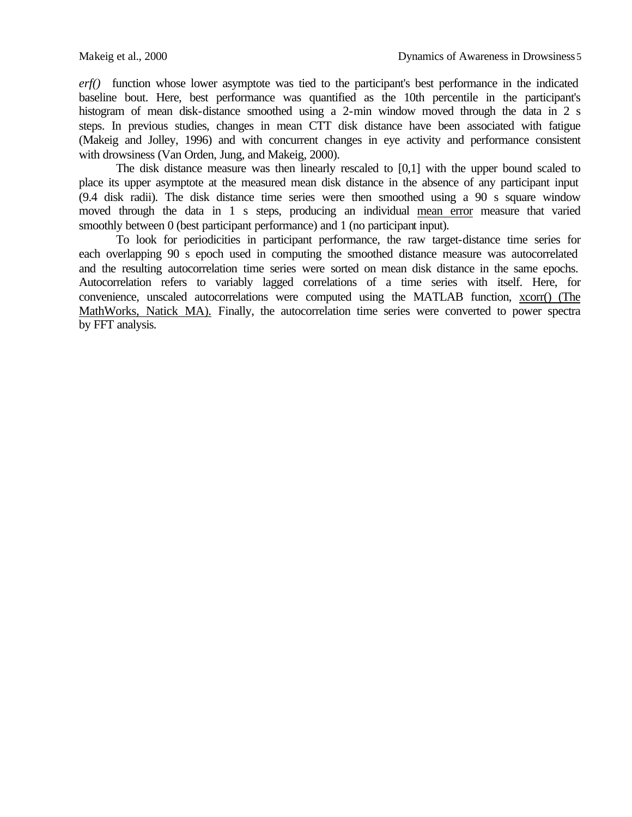*erf()* function whose lower asymptote was tied to the participant's best performance in the indicated baseline bout. Here, best performance was quantified as the 10th percentile in the participant's histogram of mean disk-distance smoothed using a 2-min window moved through the data in 2 s steps. In previous studies, changes in mean CTT disk distance have been associated with fatigue (Makeig and Jolley, 1996) and with concurrent changes in eye activity and performance consistent with drowsiness (Van Orden, Jung, and Makeig, 2000).

The disk distance measure was then linearly rescaled to [0,1] with the upper bound scaled to place its upper asymptote at the measured mean disk distance in the absence of any participant input (9.4 disk radii). The disk distance time series were then smoothed using a 90 s square window moved through the data in 1 s steps, producing an individual mean error measure that varied smoothly between 0 (best participant performance) and 1 (no participant input).

To look for periodicities in participant performance, the raw target-distance time series for each overlapping 90 s epoch used in computing the smoothed distance measure was autocorrelated and the resulting autocorrelation time series were sorted on mean disk distance in the same epochs. Autocorrelation refers to variably lagged correlations of a time series with itself. Here, for convenience, unscaled autocorrelations were computed using the MATLAB function, xcorr() (The MathWorks, Natick MA). Finally, the autocorrelation time series were converted to power spectra by FFT analysis.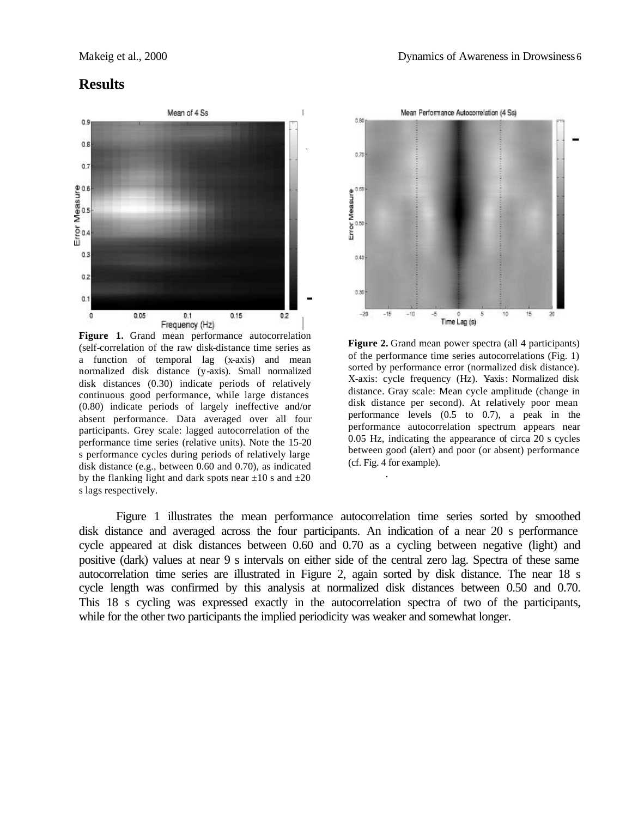### **Results**



**Figure 1.** Grand mean performance autocorrelation (self-correlation of the raw disk-distance time series as a function of temporal lag (x-axis) and mean normalized disk distance (y-axis). Small normalized disk distances (0.30) indicate periods of relatively continuous good performance, while large distances (0.80) indicate periods of largely ineffective and/or absent performance. Data averaged over all four participants. Grey scale: lagged autocorrelation of the performance time series (relative units). Note the 15-20 s performance cycles during periods of relatively large disk distance (e.g., between 0.60 and 0.70), as indicated by the flanking light and dark spots near  $\pm 10$  s and  $\pm 20$ s lags respectively.



**Figure 2.** Grand mean power spectra (all 4 participants) of the performance time series autocorrelations (Fig. 1) sorted by performance error (normalized disk distance). X-axis: cycle frequency (Hz). Yaxis: Normalized disk distance. Gray scale: Mean cycle amplitude (change in disk distance per second). At relatively poor mean performance levels (0.5 to 0.7), a peak in the performance autocorrelation spectrum appears near 0.05 Hz, indicating the appearance of circa 20 s cycles between good (alert) and poor (or absent) performance (cf. Fig. 4 for example).

Figure 1 illustrates the mean performance autocorrelation time series sorted by smoothed disk distance and averaged across the four participants. An indication of a near 20 s performance cycle appeared at disk distances between 0.60 and 0.70 as a cycling between negative (light) and positive (dark) values at near 9 s intervals on either side of the central zero lag. Spectra of these same autocorrelation time series are illustrated in Figure 2, again sorted by disk distance. The near 18 s cycle length was confirmed by this analysis at normalized disk distances between 0.50 and 0.70. This 18 s cycling was expressed exactly in the autocorrelation spectra of two of the participants, while for the other two participants the implied periodicity was weaker and somewhat longer.

.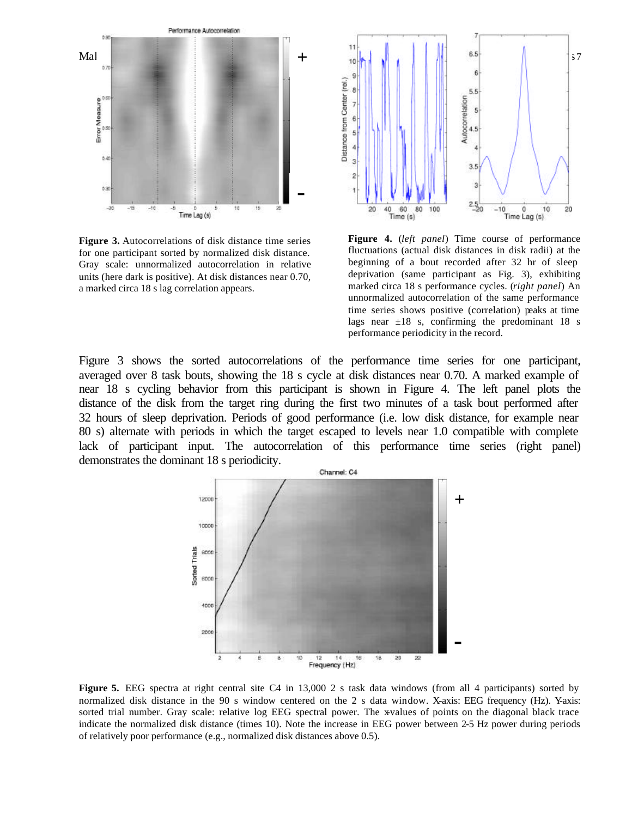

**Figure 3.** Autocorrelations of disk distance time series for one participant sorted by normalized disk distance. Gray scale: unnormalized autocorrelation in relative units (here dark is positive). At disk distances near 0.70, a marked circa 18 s lag correlation appears.



**Figure 4.** (*left panel*) Time course of performance fluctuations (actual disk distances in disk radii) at the beginning of a bout recorded after 32 hr of sleep deprivation (same participant as Fig. 3), exhibiting marked circa 18 s performance cycles. (*right panel*) An unnormalized autocorrelation of the same performance time series shows positive (correlation) peaks at time lags near  $\pm 18$  s, confirming the predominant 18 s performance periodicity in the record.

Figure 3 shows the sorted autocorrelations of the performance time series for one participant, averaged over 8 task bouts, showing the 18 s cycle at disk distances near 0.70. A marked example of near 18 s cycling behavior from this participant is shown in Figure 4. The left panel plots the distance of the disk from the target ring during the first two minutes of a task bout performed after 32 hours of sleep deprivation. Periods of good performance (i.e. low disk distance, for example near 80 s) alternate with periods in which the target escaped to levels near 1.0 compatible with complete lack of participant input. The autocorrelation of this performance time series (right panel) demonstrates the dominant 18 s periodicity.



**Figure 5.** EEG spectra at right central site C4 in 13,000 2 s task data windows (from all 4 participants) sorted by normalized disk distance in the 90 s window centered on the 2 s data window. X-axis: EEG frequency (Hz). Y-axis: sorted trial number. Gray scale: relative log EEG spectral power. The x-values of points on the diagonal black trace indicate the normalized disk distance (times 10). Note the increase in EEG power between 2-5 Hz power during periods of relatively poor performance (e.g., normalized disk distances above 0.5).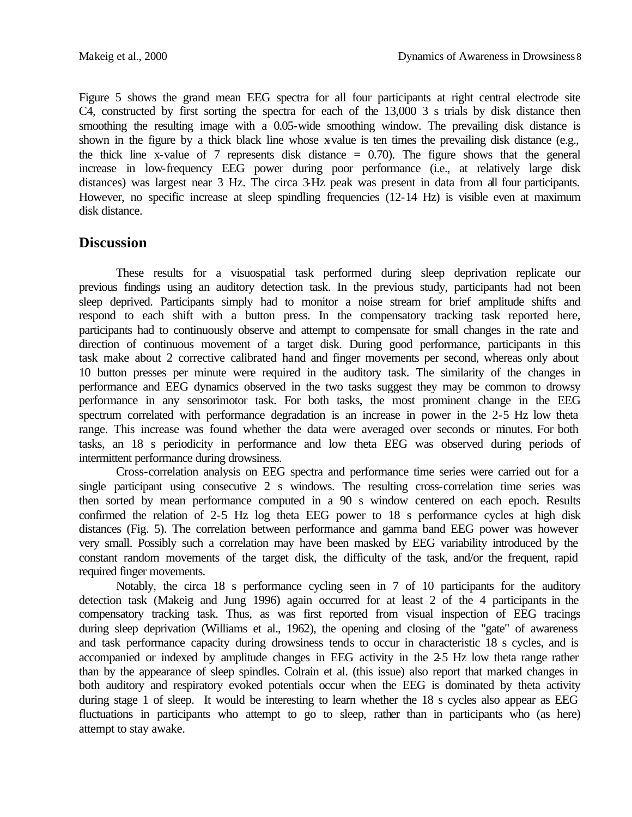Figure 5 shows the grand mean EEG spectra for all four participants at right central electrode site C4, constructed by first sorting the spectra for each of the 13,000 3 s trials by disk distance then smoothing the resulting image with a 0.05-wide smoothing window. The prevailing disk distance is shown in the figure by a thick black line whose x-value is ten times the prevailing disk distance (e.g., the thick line x-value of 7 represents disk distance  $= 0.70$ . The figure shows that the general increase in low-frequency EEG power during poor performance (i.e., at relatively large disk distances) was largest near 3 Hz. The circa 3-Hz peak was present in data from all four participants. However, no specific increase at sleep spindling frequencies (12-14 Hz) is visible even at maximum disk distance.

# **Discussion**

These results for a visuospatial task performed during sleep deprivation replicate our previous findings using an auditory detection task. In the previous study, participants had not been sleep deprived. Participants simply had to monitor a noise stream for brief amplitude shifts and respond to each shift with a button press. In the compensatory tracking task reported here, participants had to continuously observe and attempt to compensate for small changes in the rate and direction of continuous movement of a target disk. During good performance, participants in this task make about 2 corrective calibrated hand and finger movements per second, whereas only about 10 button presses per minute were required in the auditory task. The similarity of the changes in performance and EEG dynamics observed in the two tasks suggest they may be common to drowsy performance in any sensorimotor task. For both tasks, the most prominent change in the EEG spectrum correlated with performance degradation is an increase in power in the 2-5 Hz low theta range. This increase was found whether the data were averaged over seconds or minutes. For both tasks, an 18 s periodicity in performance and low theta EEG was observed during periods of intermittent performance during drowsiness.

Cross-correlation analysis on EEG spectra and performance time series were carried out for a single participant using consecutive 2 s windows. The resulting cross-correlation time series was then sorted by mean performance computed in a 90 s window centered on each epoch. Results confirmed the relation of 2-5 Hz log theta EEG power to 18 s performance cycles at high disk distances (Fig. 5). The correlation between performance and gamma band EEG power was however very small. Possibly such a correlation may have been masked by EEG variability introduced by the constant random movements of the target disk, the difficulty of the task, and/or the frequent, rapid required finger movements.

Notably, the circa 18 s performance cycling seen in 7 of 10 participants for the auditory detection task (Makeig and Jung 1996) again occurred for at least 2 of the 4 participants in the compensatory tracking task. Thus, as was first reported from visual inspection of EEG tracings during sleep deprivation (Williams et al., 1962), the opening and closing of the "gate" of awareness and task performance capacity during drowsiness tends to occur in characteristic 18 s cycles, and is accompanied or indexed by amplitude changes in EEG activity in the 2-5 Hz low theta range rather than by the appearance of sleep spindles. Colrain et al. (this issue) also report that marked changes in both auditory and respiratory evoked potentials occur when the EEG is dominated by theta activity during stage 1 of sleep. It would be interesting to learn whether the 18 s cycles also appear as EEG fluctuations in participants who attempt to go to sleep, rather than in participants who (as here) attempt to stay awake.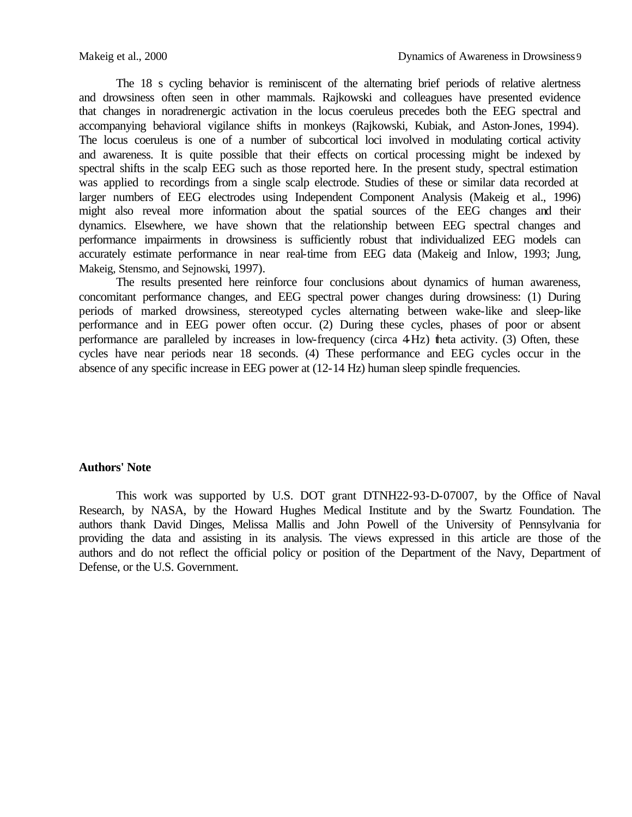The 18 s cycling behavior is reminiscent of the alternating brief periods of relative alertness and drowsiness often seen in other mammals. Rajkowski and colleagues have presented evidence that changes in noradrenergic activation in the locus coeruleus precedes both the EEG spectral and accompanying behavioral vigilance shifts in monkeys (Rajkowski, Kubiak, and Aston-Jones, 1994). The locus coeruleus is one of a number of subcortical loci involved in modulating cortical activity and awareness. It is quite possible that their effects on cortical processing might be indexed by spectral shifts in the scalp EEG such as those reported here. In the present study, spectral estimation was applied to recordings from a single scalp electrode. Studies of these or similar data recorded at larger numbers of EEG electrodes using Independent Component Analysis (Makeig et al., 1996) might also reveal more information about the spatial sources of the EEG changes and their dynamics. Elsewhere, we have shown that the relationship between EEG spectral changes and performance impairments in drowsiness is sufficiently robust that individualized EEG models can accurately estimate performance in near real-time from EEG data (Makeig and Inlow, 1993; Jung, Makeig, Stensmo, and Sejnowski, 1997).

The results presented here reinforce four conclusions about dynamics of human awareness, concomitant performance changes, and EEG spectral power changes during drowsiness: (1) During periods of marked drowsiness, stereotyped cycles alternating between wake-like and sleep-like performance and in EEG power often occur. (2) During these cycles, phases of poor or absent performance are paralleled by increases in low-frequency (circa 4-Hz) theta activity. (3) Often, these cycles have near periods near 18 seconds. (4) These performance and EEG cycles occur in the absence of any specific increase in EEG power at (12-14 Hz) human sleep spindle frequencies.

#### **Authors' Note**

This work was supported by U.S. DOT grant DTNH22-93-D-07007, by the Office of Naval Research, by NASA, by the Howard Hughes Medical Institute and by the Swartz Foundation. The authors thank David Dinges, Melissa Mallis and John Powell of the University of Pennsylvania for providing the data and assisting in its analysis. The views expressed in this article are those of the authors and do not reflect the official policy or position of the Department of the Navy, Department of Defense, or the U.S. Government.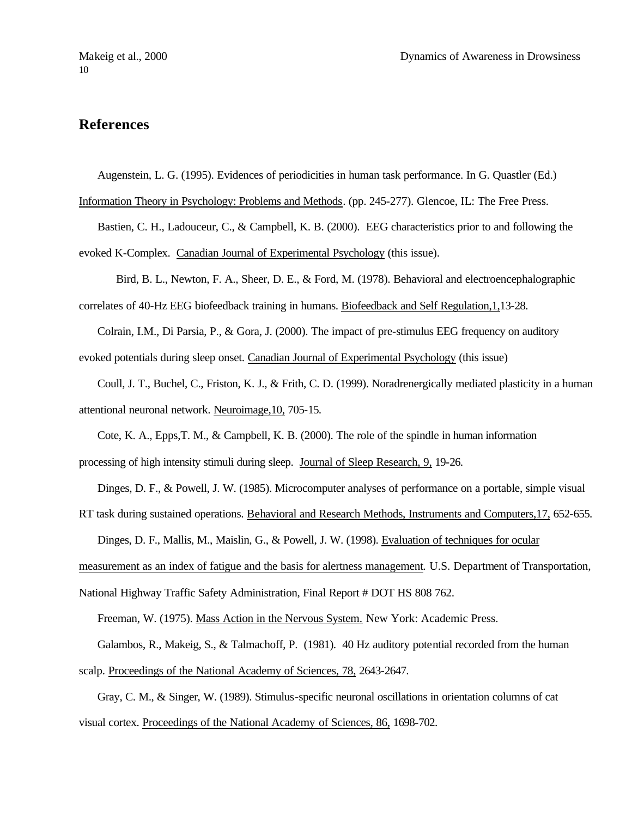# **References**

Augenstein, L. G. (1995). Evidences of periodicities in human task performance. In G. Quastler (Ed.)

Information Theory in Psychology: Problems and Methods. (pp. 245-277). Glencoe, IL: The Free Press.

Bastien, C. H., Ladouceur, C., & Campbell, K. B. (2000). EEG characteristics prior to and following the evoked K-Complex. Canadian Journal of Experimental Psychology (this issue).

Bird, B. L., Newton, F. A., Sheer, D. E., & Ford, M. (1978). Behavioral and electroencephalographic correlates of 40-Hz EEG biofeedback training in humans. Biofeedback and Self Regulation,1,13-28.

Colrain, I.M., Di Parsia, P., & Gora, J. (2000). The impact of pre-stimulus EEG frequency on auditory evoked potentials during sleep onset. Canadian Journal of Experimental Psychology (this issue)

Coull, J. T., Buchel, C., Friston, K. J., & Frith, C. D. (1999). Noradrenergically mediated plasticity in a human attentional neuronal network. Neuroimage,10, 705-15.

Cote, K. A., Epps,T. M., & Campbell, K. B. (2000). The role of the spindle in human information processing of high intensity stimuli during sleep. Journal of Sleep Research, 9, 19-26.

Dinges, D. F., & Powell, J. W. (1985). Microcomputer analyses of performance on a portable, simple visual

RT task during sustained operations. Behavioral and Research Methods, Instruments and Computers,17, 652-655.

Dinges, D. F., Mallis, M., Maislin, G., & Powell, J. W. (1998). Evaluation of techniques for ocular

measurement as an index of fatigue and the basis for alertness management*.* U.S. Department of Transportation,

National Highway Traffic Safety Administration, Final Report # DOT HS 808 762.

Freeman, W. (1975). Mass Action in the Nervous System. New York: Academic Press.

Galambos, R., Makeig, S., & Talmachoff, P. (1981). 40 Hz auditory potential recorded from the human

scalp. Proceedings of the National Academy of Sciences, 78, 2643-2647.

Gray, C. M., & Singer, W. (1989). Stimulus-specific neuronal oscillations in orientation columns of cat visual cortex. Proceedings of the National Academy of Sciences, 86, 1698-702.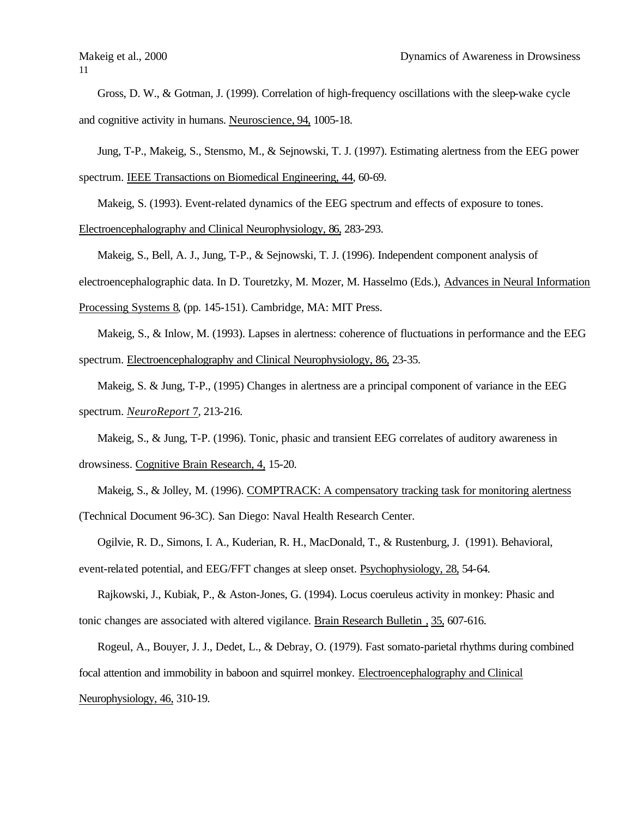11

Gross, D. W., & Gotman, J. (1999). Correlation of high-frequency oscillations with the sleep-wake cycle and cognitive activity in humans. Neuroscience, 94, 1005-18.

Jung, T-P., Makeig, S., Stensmo, M., & Sejnowski, T. J. (1997). Estimating alertness from the EEG power

spectrum. IEEE Transactions on Biomedical Engineering, 44, 60-69.

Makeig, S. (1993). Event-related dynamics of the EEG spectrum and effects of exposure to tones.

Electroencephalography and Clinical Neurophysiology, 86, 283-293.

Makeig, S., Bell, A. J., Jung, T-P., & Sejnowski, T. J. (1996). Independent component analysis of

electroencephalographic data. In D. Touretzky, M. Mozer, M. Hasselmo (Eds.), Advances in Neural Information

Processing Systems 8, (pp. 145-151). Cambridge, MA: MIT Press.

Makeig, S., & Inlow, M. (1993). Lapses in alertness: coherence of fluctuations in performance and the EEG spectrum. Electroencephalography and Clinical Neurophysiology, 86, 23-35.

Makeig, S. & Jung, T-P., (1995) Changes in alertness are a principal component of variance in the EEG spectrum. *NeuroReport* 7, 213-216.

Makeig, S., & Jung, T-P. (1996). Tonic, phasic and transient EEG correlates of auditory awareness in drowsiness. Cognitive Brain Research, 4, 15-20.

Makeig, S., & Jolley, M. (1996). COMPTRACK: A compensatory tracking task for monitoring alertness (Technical Document 96-3C). San Diego: Naval Health Research Center.

Ogilvie, R. D., Simons, I. A., Kuderian, R. H., MacDonald, T., & Rustenburg, J. (1991). Behavioral, event-related potential, and EEG/FFT changes at sleep onset. Psychophysiology, 28, 54-64.

Rajkowski, J., Kubiak, P., & Aston-Jones, G. (1994). Locus coeruleus activity in monkey: Phasic and tonic changes are associated with altered vigilance. Brain Research Bulletin , 35, 607-616.

Rogeul, A., Bouyer, J. J., Dedet, L., & Debray, O. (1979). Fast somato-parietal rhythms during combined focal attention and immobility in baboon and squirrel monkey. Electroencephalography and Clinical Neurophysiology, 46, 310-19.